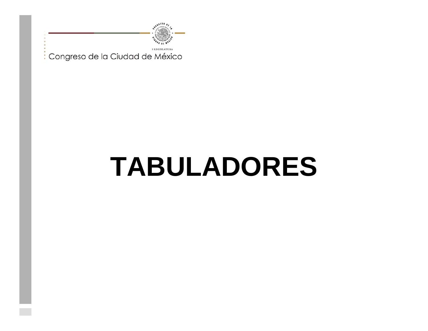

## **TABULADORES**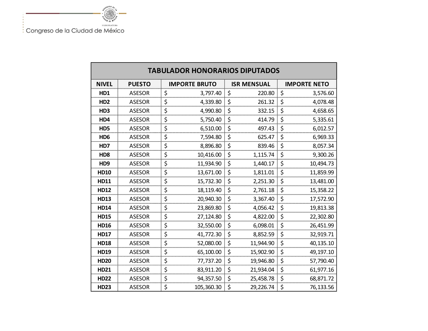**SALARED A** 

| <b>TABULADOR HONORARIOS DIPUTADOS</b> |               |                      |                    |                     |  |  |  |  |
|---------------------------------------|---------------|----------------------|--------------------|---------------------|--|--|--|--|
| <b>NIVEL</b>                          | <b>PUESTO</b> | <b>IMPORTE BRUTO</b> | <b>ISR MENSUAL</b> | <b>IMPORTE NETO</b> |  |  |  |  |
| HD1                                   | <b>ASESOR</b> | \$<br>3,797.40       | \$<br>220.80       | \$<br>3,576.60      |  |  |  |  |
| HD <sub>2</sub>                       | <b>ASESOR</b> | \$<br>4,339.80       | \$<br>261.32       | \$<br>4,078.48      |  |  |  |  |
| HD <sub>3</sub>                       | <b>ASESOR</b> | \$<br>4,990.80       | \$<br>332.15       | \$<br>4,658.65      |  |  |  |  |
| HD4                                   | <b>ASESOR</b> | \$<br>5,750.40       | \$<br>414.79       | \$<br>5,335.61      |  |  |  |  |
| HD5                                   | <b>ASESOR</b> | \$<br>6,510.00       | \$<br>497.43       | \$<br>6,012.57      |  |  |  |  |
| HD <sub>6</sub>                       | <b>ASESOR</b> | \$<br>7,594.80       | \$<br>625.47       | \$<br>6,969.33      |  |  |  |  |
| HD7                                   | <b>ASESOR</b> | \$<br>8,896.80       | \$<br>839.46       | \$<br>8,057.34      |  |  |  |  |
| HD <sub>8</sub>                       | <b>ASESOR</b> | \$<br>10,416.00      | \$<br>1,115.74     | \$<br>9,300.26      |  |  |  |  |
| HD <sub>9</sub>                       | <b>ASESOR</b> | \$<br>11,934.90      | \$<br>1,440.17     | \$<br>10,494.73     |  |  |  |  |
| <b>HD10</b>                           | <b>ASESOR</b> | \$<br>13,671.00      | \$<br>1,811.01     | \$<br>11,859.99     |  |  |  |  |
| <b>HD11</b>                           | <b>ASESOR</b> | \$<br>15,732.30      | \$<br>2,251.30     | \$<br>13,481.00     |  |  |  |  |
| <b>HD12</b>                           | <b>ASESOR</b> | \$<br>18,119.40      | \$<br>2,761.18     | \$<br>15,358.22     |  |  |  |  |
| <b>HD13</b>                           | <b>ASESOR</b> | \$<br>20,940.30      | \$<br>3,367.40     | \$<br>17,572.90     |  |  |  |  |
| <b>HD14</b>                           | <b>ASESOR</b> | \$<br>23,869.80      | \$<br>4,056.42     | \$<br>19,813.38     |  |  |  |  |
| <b>HD15</b>                           | <b>ASESOR</b> | \$<br>27,124.80      | \$<br>4,822.00     | \$<br>22,302.80     |  |  |  |  |
| <b>HD16</b>                           | <b>ASESOR</b> | \$<br>32,550.00      | \$<br>6,098.01     | \$<br>26,451.99     |  |  |  |  |
| <b>HD17</b>                           | <b>ASESOR</b> | \$<br>41,772.30      | \$<br>8,852.59     | \$<br>32,919.71     |  |  |  |  |
| <b>HD18</b>                           | <b>ASESOR</b> | \$<br>52,080.00      | \$<br>11,944.90    | \$<br>40,135.10     |  |  |  |  |
| <b>HD19</b>                           | <b>ASESOR</b> | \$<br>65,100.00      | \$<br>15,902.90    | \$<br>49,197.10     |  |  |  |  |
| <b>HD20</b>                           | <b>ASESOR</b> | \$<br>77,737.20      | \$<br>19,946.80    | \$<br>57,790.40     |  |  |  |  |
| <b>HD21</b>                           | <b>ASESOR</b> | \$<br>83,911.20      | \$<br>21,934.04    | \$<br>61,977.16     |  |  |  |  |
| <b>HD22</b>                           | <b>ASESOR</b> | \$<br>94,357.50      | \$<br>25,458.78    | \$<br>68,871.72     |  |  |  |  |
| <b>HD23</b>                           | <b>ASESOR</b> | \$<br>105,360.30     | \$<br>29,226.74    | \$<br>76,133.56     |  |  |  |  |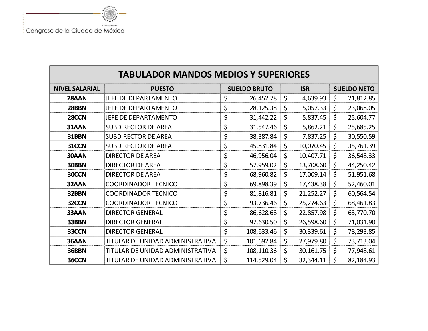

| <b>TABULADOR MANDOS MEDIOS Y SUPERIORES</b> |                                      |    |            |            |                    |    |           |  |  |
|---------------------------------------------|--------------------------------------|----|------------|------------|--------------------|----|-----------|--|--|
| <b>NIVEL SALARIAL</b>                       | <b>PUESTO</b><br><b>SUELDO BRUTO</b> |    |            | <b>ISR</b> | <b>SUELDO NETO</b> |    |           |  |  |
| 28AAN                                       | JEFE DE DEPARTAMENTO                 | \$ | 26,452.78  | \$         | 4,639.93           | \$ | 21,812.85 |  |  |
| 28BBN                                       | JEFE DE DEPARTAMENTO                 | \$ | 28,125.38  | \$         | 5,057.33           | \$ | 23,068.05 |  |  |
| 28CCN                                       | JEFE DE DEPARTAMENTO                 | \$ | 31,442.22  | \$         | 5,837.45           | \$ | 25,604.77 |  |  |
| 31AAN                                       | <b>SUBDIRECTOR DE AREA</b>           | \$ | 31,547.46  | \$         | 5,862.21           | \$ | 25,685.25 |  |  |
| 31BBN                                       | <b>SUBDIRECTOR DE AREA</b>           | \$ | 38,387.84  | \$         | 7,837.25           | \$ | 30,550.59 |  |  |
| 31CCN                                       | <b>SUBDIRECTOR DE AREA</b>           | \$ | 45,831.84  | \$         | 10,070.45          | \$ | 35,761.39 |  |  |
| 30AAN                                       | <b>DIRECTOR DE AREA</b>              | \$ | 46,956.04  | \$         | 10,407.71          | \$ | 36,548.33 |  |  |
| 30BBN                                       | <b>DIRECTOR DE AREA</b>              | \$ | 57,959.02  | \$         | 13,708.60          | \$ | 44,250.42 |  |  |
| 30CCN                                       | <b>DIRECTOR DE AREA</b>              | \$ | 68,960.82  | \$         | 17,009.14          | \$ | 51,951.68 |  |  |
| 32AAN                                       | <b>COORDINADOR TECNICO</b>           | \$ | 69,898.39  | \$         | 17,438.38          | \$ | 52,460.01 |  |  |
| 32BBN                                       | <b>COORDINADOR TECNICO</b>           | \$ | 81,816.81  | \$         | 21,252.27          | \$ | 60,564.54 |  |  |
| 32CCN                                       | <b>COORDINADOR TECNICO</b>           | \$ | 93,736.46  | \$         | 25,274.63          | \$ | 68,461.83 |  |  |
| 33AAN                                       | <b>DIRECTOR GENERAL</b>              | \$ | 86,628.68  | $\zeta$    | 22,857.98          | \$ | 63,770.70 |  |  |
| 33BBN                                       | <b>DIRECTOR GENERAL</b>              | \$ | 97,630.50  | \$         | 26,598.60          | \$ | 71,031.90 |  |  |
| 33CCN                                       | <b>DIRECTOR GENERAL</b>              | \$ | 108,633.46 | \$         | 30,339.61          | \$ | 78,293.85 |  |  |
| 36AAN                                       | TITULAR DE UNIDAD ADMINISTRATIVA     | \$ | 101,692.84 | \$         | 27,979.80          | \$ | 73,713.04 |  |  |
| 36BBN                                       | TITULAR DE UNIDAD ADMINISTRATIVA     | \$ | 108,110.36 | \$         | 30, 161.75         | \$ | 77,948.61 |  |  |
| 36CCN                                       | TITULAR DE UNIDAD ADMINISTRATIVA     | \$ | 114,529.04 | \$         | 32,344.11          | \$ | 82,184.93 |  |  |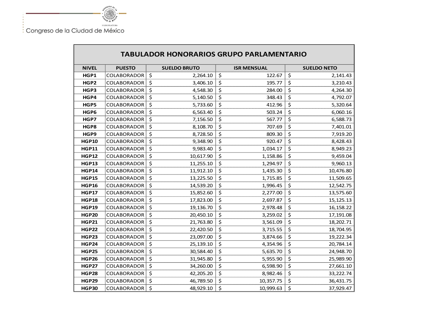

 $\blacksquare$ 

**Section** 

| <b>TABULADOR HONORARIOS GRUPO PARLAMENTARIO</b> |                    |                         |                     |                    |  |  |  |  |  |
|-------------------------------------------------|--------------------|-------------------------|---------------------|--------------------|--|--|--|--|--|
| <b>NIVEL</b>                                    | <b>PUESTO</b>      | <b>SUELDO BRUTO</b>     | <b>ISR MENSUAL</b>  | <b>SUELDO NETO</b> |  |  |  |  |  |
| HGP1                                            | <b>COLABORADOR</b> | \$<br>2,264.10          | \$<br>122.67        | \$<br>2,141.43     |  |  |  |  |  |
| HGP2                                            | COLABORADOR        | \$<br>3,406.10          | \$<br>195.77        | \$<br>3,210.43     |  |  |  |  |  |
| HGP3                                            | COLABORADOR        | \$<br>4,548.30          | \$<br>284.00        | \$<br>4,264.30     |  |  |  |  |  |
| HGP4                                            | <b>COLABORADOR</b> | \$<br>5,140.50          | \$<br>348.43        | \$<br>4,792.07     |  |  |  |  |  |
| HGP5                                            | <b>COLABORADOR</b> | $\varsigma$<br>5,733.60 | \$<br>412.96        | \$<br>5,320.64     |  |  |  |  |  |
| HGP6                                            | <b>COLABORADOR</b> | \$<br>6,563.40          | \$<br>503.24        | \$<br>6,060.16     |  |  |  |  |  |
| HGP7                                            | COLABORADOR        | \$<br>7,156.50          | \$<br>567.77        | \$<br>6,588.73     |  |  |  |  |  |
| HGP8                                            | COLABORADOR        | \$<br>8,108.70          | \$<br>707.69        | \$<br>7,401.01     |  |  |  |  |  |
| HGP9                                            | COLABORADOR        | \$<br>8,728.50          | \$<br>809.30        | \$<br>7,919.20     |  |  |  |  |  |
| <b>HGP10</b>                                    | COLABORADOR        | \$<br>9,348.90          | \$<br>920.47        | \$<br>8,428.43     |  |  |  |  |  |
| <b>HGP11</b>                                    | COLABORADOR        | \$<br>9,983.40          | \$<br>1,034.17      | \$<br>8,949.23     |  |  |  |  |  |
| <b>HGP12</b>                                    | COLABORADOR        | \$<br>10,617.90         | \$<br>1,158.86      | \$<br>9,459.04     |  |  |  |  |  |
| <b>HGP13</b>                                    | COLABORADOR        | \$<br>11,255.10         | \$<br>1,294.97      | \$<br>9,960.13     |  |  |  |  |  |
| <b>HGP14</b>                                    | <b>COLABORADOR</b> | \$<br>11,912.10         | \$<br>1,435.30      | \$<br>10,476.80    |  |  |  |  |  |
| <b>HGP15</b>                                    | COLABORADOR        | \$<br>13,225.50         | \$<br>1,715.85      | \$<br>11,509.65    |  |  |  |  |  |
| <b>HGP16</b>                                    | <b>COLABORADOR</b> | \$<br>14,539.20         | $\zeta$<br>1,996.45 | \$<br>12,542.75    |  |  |  |  |  |
| <b>HGP17</b>                                    | COLABORADOR        | \$<br>15,852.60         | \$<br>2,277.00      | \$<br>13,575.60    |  |  |  |  |  |
| <b>HGP18</b>                                    | COLABORADOR        | \$<br>17,823.00         | \$<br>2,697.87      | \$<br>15,125.13    |  |  |  |  |  |
| <b>HGP19</b>                                    | COLABORADOR        | \$<br>19,136.70         | \$<br>2,978.48      | \$<br>16,158.22    |  |  |  |  |  |
| <b>HGP20</b>                                    | COLABORADOR        | \$<br>20,450.10         | \$<br>3,259.02      | \$<br>17,191.08    |  |  |  |  |  |
| <b>HGP21</b>                                    | <b>COLABORADOR</b> | \$<br>21,763.80         | \$<br>3,561.09      | \$<br>18,202.71    |  |  |  |  |  |
| <b>HGP22</b>                                    | COLABORADOR        | \$<br>22,420.50         | \$<br>3,715.55      | \$<br>18,704.95    |  |  |  |  |  |
| <b>HGP23</b>                                    | <b>COLABORADOR</b> | \$<br>23,097.00         | \$<br>3,874.66      | \$<br>19,222.34    |  |  |  |  |  |
| <b>HGP24</b>                                    | COLABORADOR        | \$<br>25,139.10         | \$<br>4,354.96      | \$<br>20,784.14    |  |  |  |  |  |
| <b>HGP25</b>                                    | <b>COLABORADOR</b> | \$<br>30,584.40         | \$<br>5,635.70      | \$<br>24,948.70    |  |  |  |  |  |
| <b>HGP26</b>                                    | COLABORADOR        | \$<br>31,945.80         | \$<br>5,955.90      | \$<br>25,989.90    |  |  |  |  |  |
| <b>HGP27</b>                                    | COLABORADOR        | \$<br>34,260.00         | \$<br>6,598.90      | \$<br>27,661.10    |  |  |  |  |  |
| <b>HGP28</b>                                    | COLABORADOR        | \$<br>42,205.20         | \$<br>8,982.46      | \$<br>33,222.74    |  |  |  |  |  |
| <b>HGP29</b>                                    | COLABORADOR        | \$<br>46,789.50         | \$<br>10,357.75     | \$<br>36,431.75    |  |  |  |  |  |
| <b>HGP30</b>                                    | <b>COLABORADOR</b> | \$<br>48,929.10         | \$<br>10,999.63     | \$<br>37,929.47    |  |  |  |  |  |

┑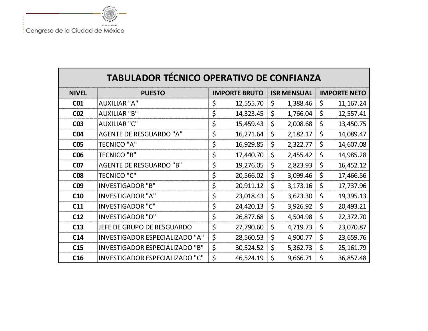

| <b>TABULADOR TÉCNICO OPERATIVO DE CONFIANZA</b> |                                       |                      |           |                    |          |                     |             |
|-------------------------------------------------|---------------------------------------|----------------------|-----------|--------------------|----------|---------------------|-------------|
| <b>NIVEL</b>                                    | <b>PUESTO</b>                         | <b>IMPORTE BRUTO</b> |           | <b>ISR MENSUAL</b> |          | <b>IMPORTE NETO</b> |             |
| CO <sub>1</sub>                                 | <b>AUXILIAR "A"</b>                   | \$                   | 12,555.70 | \$                 | 1,388.46 | \$                  | 11, 167. 24 |
| CO <sub>2</sub>                                 | <b>AUXILIAR "B"</b>                   | \$                   | 14,323.45 | \$                 | 1,766.04 | \$                  | 12,557.41   |
| CO <sub>3</sub>                                 | <b>AUXILIAR "C"</b>                   | \$                   | 15,459.43 | \$                 | 2,008.68 | \$                  | 13,450.75   |
| <b>C04</b>                                      | <b>AGENTE DE RESGUARDO "A"</b>        | \$                   | 16,271.64 | \$                 | 2,182.17 | \$                  | 14,089.47   |
| C <sub>05</sub>                                 | <b>TECNICO "A"</b>                    | \$                   | 16,929.85 | \$                 | 2,322.77 | \$                  | 14,607.08   |
| C <sub>06</sub>                                 | <b>TECNICO "B"</b>                    | \$                   | 17,440.70 | \$                 | 2,455.42 | \$                  | 14,985.28   |
| <b>C07</b>                                      | <b>AGENTE DE RESGUARDO "B"</b>        | \$                   | 19,276.05 | \$                 | 2,823.93 | \$                  | 16,452.12   |
| <b>C08</b>                                      | <b>TECNICO "C"</b>                    | \$                   | 20,566.02 | $\zeta$            | 3,099.46 | \$                  | 17,466.56   |
| C <sub>09</sub>                                 | <b>INVESTIGADOR "B"</b>               | \$                   | 20,911.12 | $\zeta$            | 3,173.16 | \$                  | 17,737.96   |
| C10                                             | <b>INVESTIGADOR "A"</b>               | \$                   | 23,018.43 | \$                 | 3,623.30 | \$                  | 19,395.13   |
| C11                                             | <b>INVESTIGADOR "C"</b>               | \$                   | 24,420.13 | \$                 | 3,926.92 | \$                  | 20,493.21   |
| C12                                             | <b>INVESTIGADOR "D"</b>               | \$                   | 26,877.68 | \$                 | 4,504.98 | \$                  | 22,372.70   |
| C13                                             | JEFE DE GRUPO DE RESGUARDO            | \$                   | 27,790.60 | \$                 | 4,719.73 | \$                  | 23,070.87   |
| C14                                             | INVESTIGADOR ESPECIALIZADO "A"        | \$                   | 28,560.53 | \$                 | 4,900.77 | \$                  | 23,659.76   |
| C15                                             | <b>INVESTIGADOR ESPECIALIZADO "B"</b> | \$                   | 30,524.52 | \$                 | 5,362.73 | \$                  | 25, 161.79  |
| C16                                             | <b>INVESTIGADOR ESPECIALIZADO "C"</b> | \$                   | 46,524.19 | \$                 | 9,666.71 | \$                  | 36,857.48   |